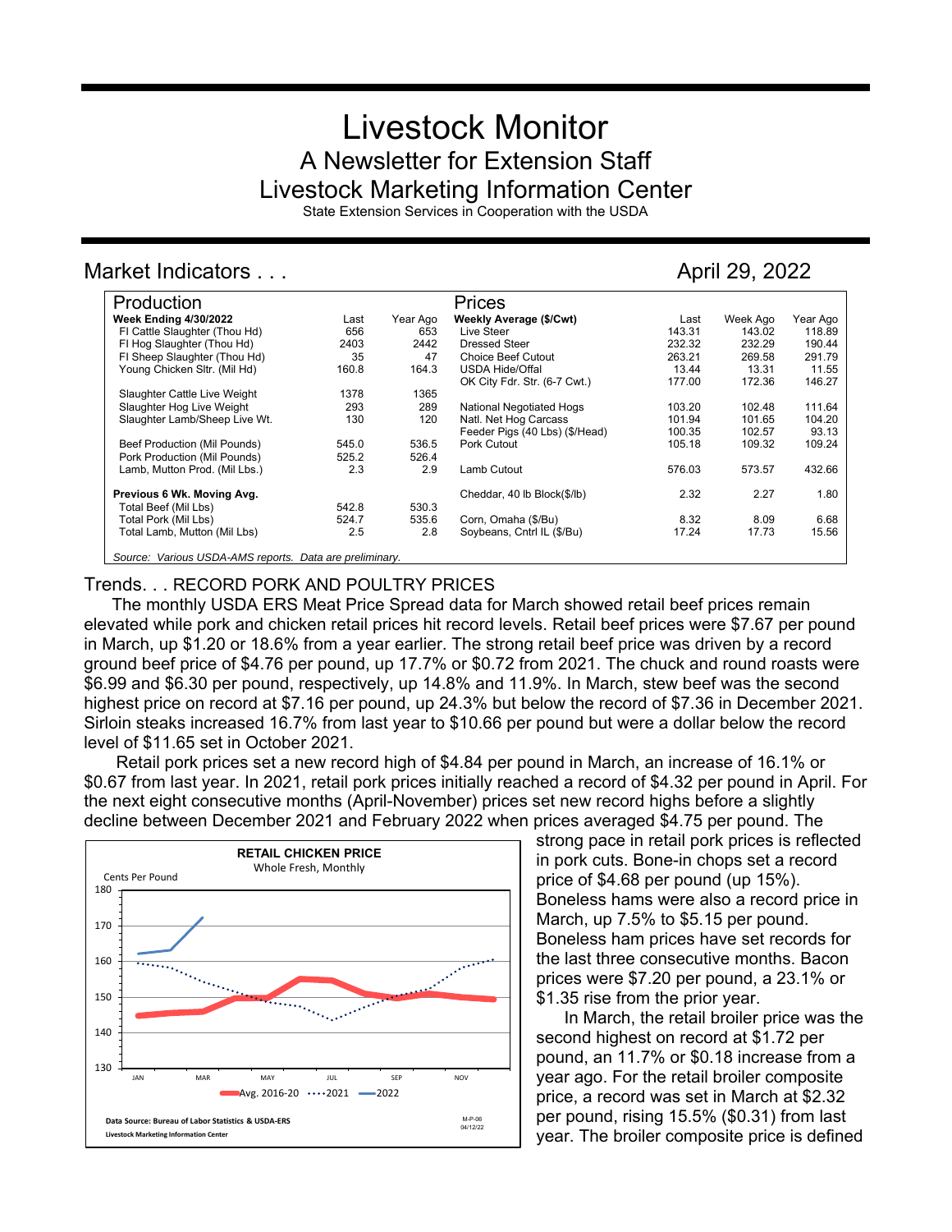# Livestock Monitor A Newsletter for Extension Staff Livestock Marketing Information Center

State Extension Services in Cooperation with the USDA

# Market Indicators . . . April 29, 2022

| Production                                              |       |          | Prices                         |        |          |          |
|---------------------------------------------------------|-------|----------|--------------------------------|--------|----------|----------|
| <b>Week Ending 4/30/2022</b>                            | Last  | Year Ago | Weekly Average (\$/Cwt)        | Last   | Week Ago | Year Ago |
| FI Cattle Slaughter (Thou Hd)                           | 656   | 653      | Live Steer                     | 143.31 | 143.02   | 118.89   |
| FI Hog Slaughter (Thou Hd)                              | 2403  | 2442     | Dressed Steer                  | 232.32 | 232.29   | 190.44   |
| FI Sheep Slaughter (Thou Hd)                            | 35    | 47       | <b>Choice Beef Cutout</b>      | 263.21 | 269.58   | 291.79   |
| Young Chicken Sltr. (Mil Hd)                            | 160.8 | 164.3    | <b>USDA Hide/Offal</b>         | 13.44  | 13.31    | 11.55    |
|                                                         |       |          | OK City Fdr. Str. (6-7 Cwt.)   | 177.00 | 172.36   | 146.27   |
| Slaughter Cattle Live Weight                            | 1378  | 1365     |                                |        |          |          |
| Slaughter Hog Live Weight                               | 293   | 289      | National Negotiated Hogs       | 103.20 | 102.48   | 111.64   |
| Slaughter Lamb/Sheep Live Wt.                           | 130   | 120      | Natl. Net Hog Carcass          | 101.94 | 101.65   | 104.20   |
|                                                         |       |          | Feeder Pigs (40 Lbs) (\$/Head) | 100.35 | 102.57   | 93.13    |
| Beef Production (Mil Pounds)                            | 545.0 | 536.5    | Pork Cutout                    | 105.18 | 109.32   | 109.24   |
| Pork Production (Mil Pounds)                            | 525.2 | 526.4    |                                |        |          |          |
| Lamb, Mutton Prod. (Mil Lbs.)                           | 2.3   | 2.9      | Lamb Cutout                    | 576.03 | 573.57   | 432.66   |
| Previous 6 Wk. Moving Avg.                              |       |          | Cheddar, 40 lb Block(\$/lb)    | 2.32   | 2.27     | 1.80     |
| Total Beef (Mil Lbs)                                    | 542.8 | 530.3    |                                |        |          |          |
| Total Pork (Mil Lbs)                                    | 524.7 | 535.6    | Corn, Omaha (\$/Bu)            | 8.32   | 8.09     | 6.68     |
| Total Lamb, Mutton (Mil Lbs)                            | 2.5   | 2.8      | Soybeans, Cntrl IL (\$/Bu)     | 17.24  | 17.73    | 15.56    |
| Source: Various USDA-AMS reports. Data are preliminary. |       |          |                                |        |          |          |

## Trends. . . RECORD PORK AND POULTRY PRICES

The monthly USDA ERS Meat Price Spread data for March showed retail beef prices remain elevated while pork and chicken retail prices hit record levels. Retail beef prices were \$7.67 per pound in March, up \$1.20 or 18.6% from a year earlier. The strong retail beef price was driven by a record ground beef price of \$4.76 per pound, up 17.7% or \$0.72 from 2021. The chuck and round roasts were \$6.99 and \$6.30 per pound, respectively, up 14.8% and 11.9%. In March, stew beef was the second highest price on record at \$7.16 per pound, up 24.3% but below the record of \$7.36 in December 2021. Sirloin steaks increased 16.7% from last year to \$10.66 per pound but were a dollar below the record level of \$11.65 set in October 2021.

Retail pork prices set a new record high of \$4.84 per pound in March, an increase of 16.1% or \$0.67 from last year. In 2021, retail pork prices initially reached a record of \$4.32 per pound in April. For the next eight consecutive months (April-November) prices set new record highs before a slightly decline between December 2021 and February 2022 when prices averaged \$4.75 per pound. The



strong pace in retail pork prices is reflected in pork cuts. Bone-in chops set a record price of \$4.68 per pound (up 15%). Boneless hams were also a record price in March, up 7.5% to \$5.15 per pound. Boneless ham prices have set records for the last three consecutive months. Bacon prices were \$7.20 per pound, a 23.1% or \$1.35 rise from the prior year.

In March, the retail broiler price was the second highest on record at \$1.72 per pound, an 11.7% or \$0.18 increase from a year ago. For the retail broiler composite price, a record was set in March at \$2.32 per pound, rising 15.5% (\$0.31) from last year. The broiler composite price is defined